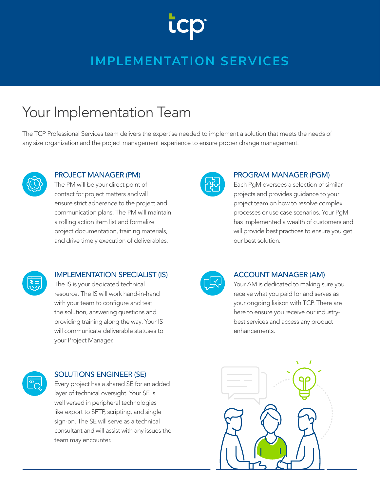# **LCK**

### **IMPLEMENTATION SERVICES**

### Your Implementation Team

The TCP Professional Services team delivers the expertise needed to implement a solution that meets the needs of any size organization and the project management experience to ensure proper change management.



### PROJECT MANAGER (PM)

The PM will be your direct point of contact for project matters and will ensure strict adherence to the project and communication plans. The PM will maintain a rolling action item list and formalize project documentation, training materials, and drive timely execution of deliverables.



### PROGRAM MANAGER (PGM)

Each PgM oversees a selection of similar projects and provides guidance to your project team on how to resolve complex processes or use case scenarios. Your PgM has implemented a wealth of customers and will provide best practices to ensure you get our best solution.



### IMPLEMENTATION SPECIALIST (IS)

The IS is your dedicated technical resource. The IS will work hand-in-hand with your team to configure and test the solution, answering questions and providing training along the way. Your IS will communicate deliverable statuses to your Project Manager.



### SOLUTIONS ENGINEER (SE)

Every project has a shared SE for an added layer of technical oversight. Your SE is well versed in peripheral technologies like export to SFTP, scripting, and single sign-on. The SE will serve as a technical consultant and will assist with any issues the team may encounter.



#### ACCOUNT MANAGER (AM)

Your AM is dedicated to making sure you receive what you paid for and serves as your ongoing liaison with TCP. There are here to ensure you receive our industrybest services and access any product enhancements.